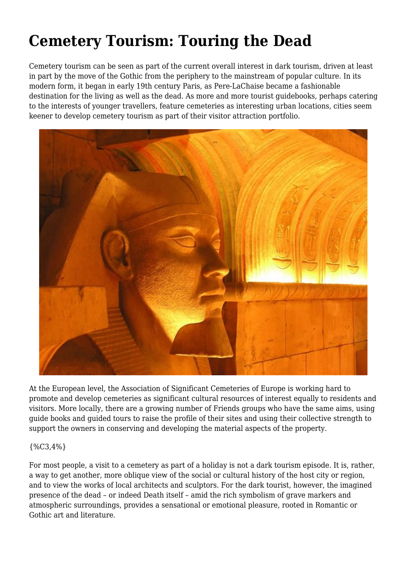## **Cemetery Tourism: Touring the Dead**

Cemetery tourism can be seen as part of the current overall interest in dark tourism, driven at least in part by the move of the Gothic from the periphery to the mainstream of popular culture. In its modern form, it began in early 19th century Paris, as Pere-LaChaise became a fashionable destination for the living as well as the dead. As more and more tourist guidebooks, perhaps catering to the interests of younger travellers, feature cemeteries as interesting urban locations, cities seem keener to develop cemetery tourism as part of their visitor attraction portfolio.



At the European level, the Association of Significant Cemeteries of Europe is working hard to promote and develop cemeteries as significant cultural resources of interest equally to residents and visitors. More locally, there are a growing number of Friends groups who have the same aims, using guide books and guided tours to raise the profile of their sites and using their collective strength to support the owners in conserving and developing the material aspects of the property.

## {%C3,4%}

For most people, a visit to a cemetery as part of a holiday is not a dark tourism episode. It is, rather, a way to get another, more oblique view of the social or cultural history of the host city or region, and to view the works of local architects and sculptors. For the dark tourist, however, the imagined presence of the dead – or indeed Death itself – amid the rich symbolism of grave markers and atmospheric surroundings, provides a sensational or emotional pleasure, rooted in Romantic or Gothic art and literature.